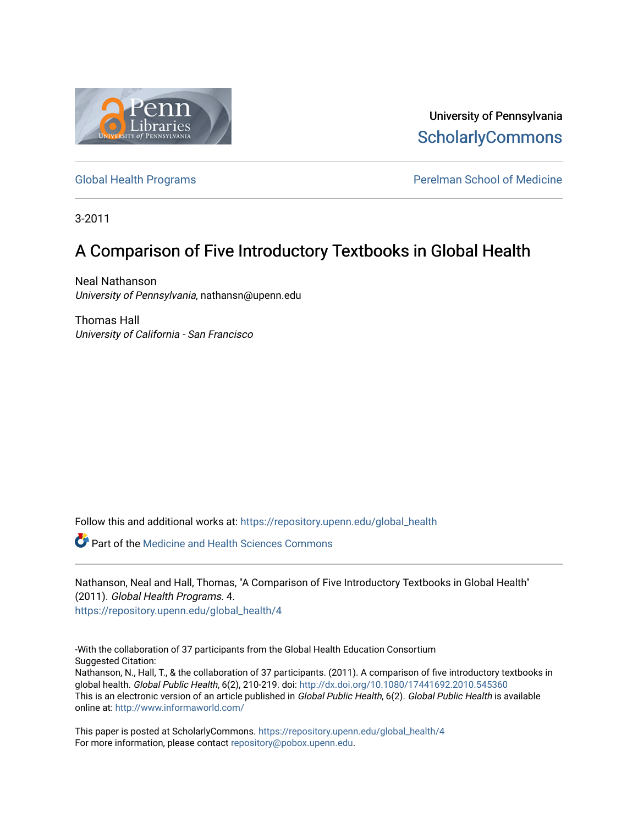

University of Pennsylvania **ScholarlyCommons** 

[Global Health Programs](https://repository.upenn.edu/global_health) **Perelman School of Medicine** 

3-2011

# A Comparison of Five Introductory Textbooks in Global Health

Neal Nathanson University of Pennsylvania, nathansn@upenn.edu

Thomas Hall University of California - San Francisco

Follow this and additional works at: [https://repository.upenn.edu/global\\_health](https://repository.upenn.edu/global_health?utm_source=repository.upenn.edu%2Fglobal_health%2F4&utm_medium=PDF&utm_campaign=PDFCoverPages) 

Part of the [Medicine and Health Sciences Commons](http://network.bepress.com/hgg/discipline/648?utm_source=repository.upenn.edu%2Fglobal_health%2F4&utm_medium=PDF&utm_campaign=PDFCoverPages) 

Nathanson, Neal and Hall, Thomas, "A Comparison of Five Introductory Textbooks in Global Health" (2011). Global Health Programs. 4. [https://repository.upenn.edu/global\\_health/4](https://repository.upenn.edu/global_health/4?utm_source=repository.upenn.edu%2Fglobal_health%2F4&utm_medium=PDF&utm_campaign=PDFCoverPages) 

-With the collaboration of 37 participants from the Global Health Education Consortium Suggested Citation:

Nathanson, N., Hall, T., & the collaboration of 37 participants. (2011). A comparison of five introductory textbooks in global health. Global Public Health, 6(2), 210-219. doi:<http://dx.doi.org/10.1080/17441692.2010.545360> This is an electronic version of an article published in Global Public Health, 6(2). Global Public Health is available online at: <http://www.informaworld.com/>

This paper is posted at ScholarlyCommons. [https://repository.upenn.edu/global\\_health/4](https://repository.upenn.edu/global_health/4)  For more information, please contact [repository@pobox.upenn.edu.](mailto:repository@pobox.upenn.edu)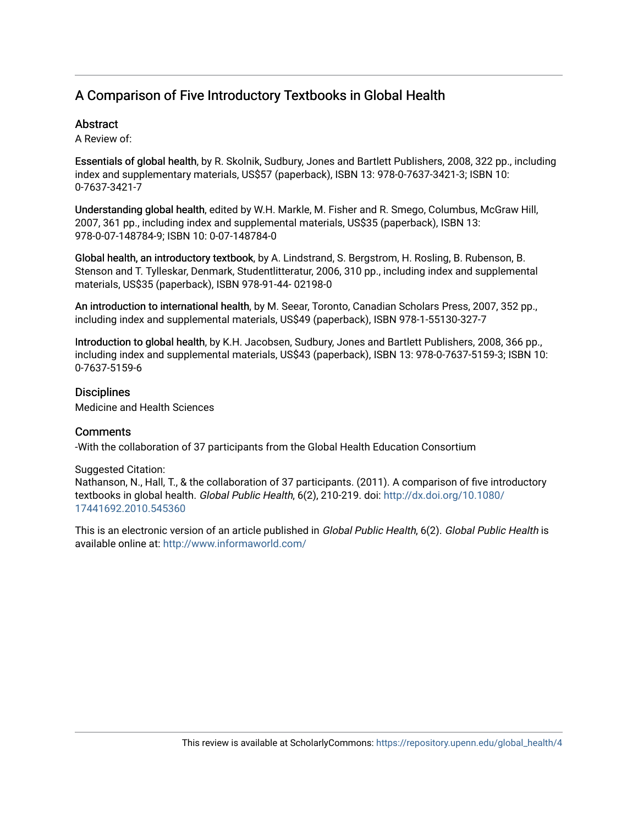## A Comparison of Five Introductory Textbooks in Global Health

## **Abstract**

A Review of:

Essentials of global health, by R. Skolnik, Sudbury, Jones and Bartlett Publishers, 2008, 322 pp., including index and supplementary materials, US\$57 (paperback), ISBN 13: 978-0-7637-3421-3; ISBN 10: 0-7637-3421-7

Understanding global health, edited by W.H. Markle, M. Fisher and R. Smego, Columbus, McGraw Hill, 2007, 361 pp., including index and supplemental materials, US\$35 (paperback), ISBN 13: 978-0-07-148784-9; ISBN 10: 0-07-148784-0

Global health, an introductory textbook, by A. Lindstrand, S. Bergstrom, H. Rosling, B. Rubenson, B. Stenson and T. Tylleskar, Denmark, Studentlitteratur, 2006, 310 pp., including index and supplemental materials, US\$35 (paperback), ISBN 978-91-44- 02198-0

An introduction to international health, by M. Seear, Toronto, Canadian Scholars Press, 2007, 352 pp., including index and supplemental materials, US\$49 (paperback), ISBN 978-1-55130-327-7

Introduction to global health, by K.H. Jacobsen, Sudbury, Jones and Bartlett Publishers, 2008, 366 pp., including index and supplemental materials, US\$43 (paperback), ISBN 13: 978-0-7637-5159-3; ISBN 10: 0-7637-5159-6

## **Disciplines**

Medicine and Health Sciences

## **Comments**

-With the collaboration of 37 participants from the Global Health Education Consortium

Suggested Citation: Nathanson, N., Hall, T., & the collaboration of 37 participants. (2011). A comparison of five introductory textbooks in global health. Global Public Health, 6(2), 210-219. doi: [http://dx.doi.org/10.1080/](http://dx.doi.org/10.1080/17441692.2010.545360) [17441692.2010.545360](http://dx.doi.org/10.1080/17441692.2010.545360)

This is an electronic version of an article published in Global Public Health, 6(2). Global Public Health is available online at: <http://www.informaworld.com/>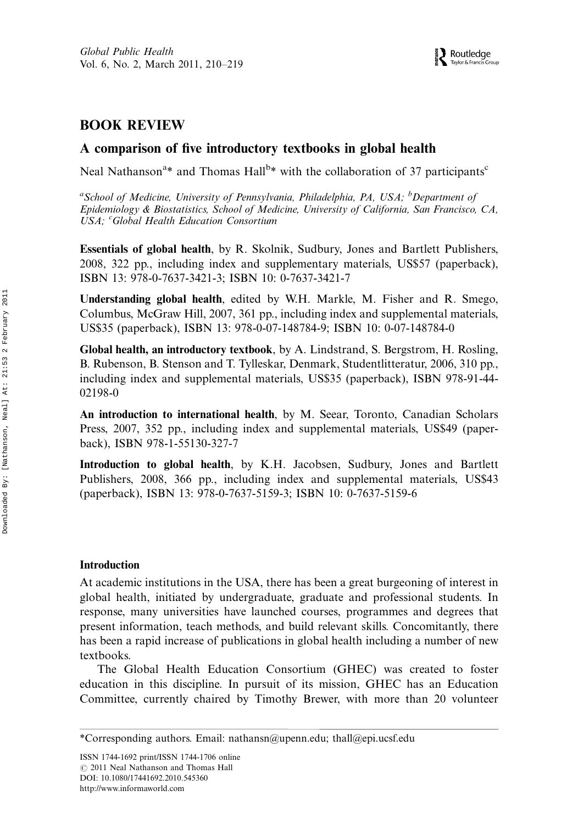## BOOK REVIEW

### A comparison of five introductory textbooks in global health

Neal Nathanson<sup>a\*</sup> and Thomas Hall<sup>b\*</sup> with the collaboration of 37 participants<sup>c</sup>

<sup>a</sup>School of Medicine, University of Pennsylvania, Philadelphia, PA, USA; <sup>b</sup>Department of Epidemiology & Biostatistics, School of Medicine, University of California, San Francisco, CA, USA; <sup>c</sup>Global Health Education Consortium

Essentials of global health, by R. Skolnik, Sudbury, Jones and Bartlett Publishers, 2008, 322 pp., including index and supplementary materials, US\$57 (paperback), ISBN 13: 978-0-7637-3421-3; ISBN 10: 0-7637-3421-7

Understanding global health, edited by W.H. Markle, M. Fisher and R. Smego, Columbus, McGraw Hill, 2007, 361 pp., including index and supplemental materials, US\$35 (paperback), ISBN 13: 978-0-07-148784-9; ISBN 10: 0-07-148784-0

Global health, an introductory textbook, by A. Lindstrand, S. Bergstrom, H. Rosling, B. Rubenson, B. Stenson and T. Tylleskar, Denmark, Studentlitteratur, 2006, 310 pp., including index and supplemental materials, US\$35 (paperback), ISBN 978-91-44- 02198-0

An introduction to international health, by M. Seear, Toronto, Canadian Scholars Press, 2007, 352 pp., including index and supplemental materials, US\$49 (paperback), ISBN 978-1-55130-327-7

Introduction to global health, by K.H. Jacobsen, Sudbury, Jones and Bartlett Publishers, 2008, 366 pp., including index and supplemental materials, US\$43 (paperback), ISBN 13: 978-0-7637-5159-3; ISBN 10: 0-7637-5159-6

#### Introduction

At academic institutions in the USA, there has been a great burgeoning of interest in global health, initiated by undergraduate, graduate and professional students. In response, many universities have launched courses, programmes and degrees that present information, teach methods, and build relevant skills. Concomitantly, there has been a rapid increase of publications in global health including a number of new textbooks.

The Global Health Education Consortium (GHEC) was created to foster education in this discipline. In pursuit of its mission, GHEC has an Education Committee, currently chaired by Timothy Brewer, with more than 20 volunteer

ISSN 1744-1692 print/ISSN 1744-1706 online  $\odot$  2011 Neal Nathanson and Thomas Hall DOI: 10.1080/17441692.2010.545360 <http://www.informaworld.com>

<sup>\*</sup>Corresponding authors. Email: nathansn@upenn.edu; thall@epi.ucsf.edu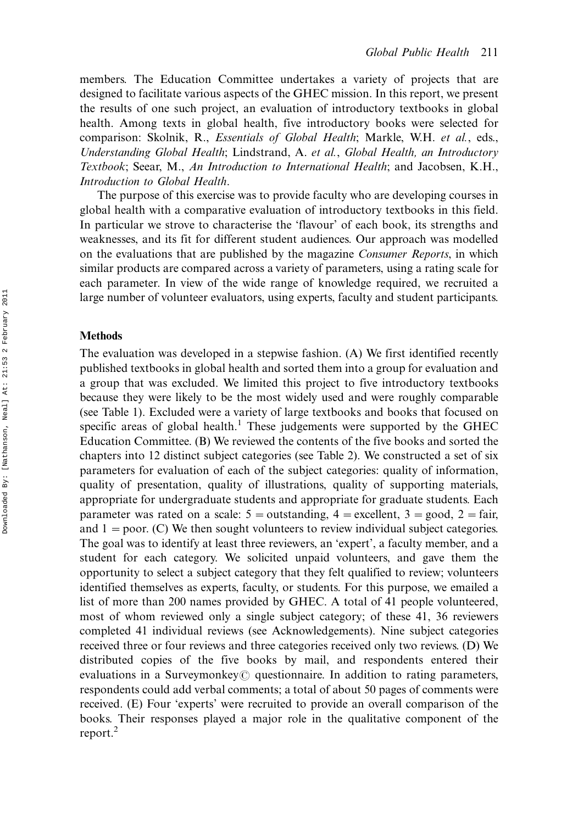members. The Education Committee undertakes a variety of projects that are designed to facilitate various aspects of the GHEC mission. In this report, we present the results of one such project, an evaluation of introductory textbooks in global health. Among texts in global health, five introductory books were selected for comparison: Skolnik, R., Essentials of Global Health; Markle, W.H. et al., eds., Understanding Global Health; Lindstrand, A. et al., Global Health, an Introductory Textbook; Seear, M., An Introduction to International Health; and Jacobsen, K.H., Introduction to Global Health.

The purpose of this exercise was to provide faculty who are developing courses in global health with a comparative evaluation of introductory textbooks in this field. In particular we strove to characterise the 'flavour' of each book, its strengths and weaknesses, and its fit for different student audiences. Our approach was modelled on the evaluations that are published by the magazine Consumer Reports, in which similar products are compared across a variety of parameters, using a rating scale for each parameter. In view of the wide range of knowledge required, we recruited a large number of volunteer evaluators, using experts, faculty and student participants.

#### Methods

The evaluation was developed in a stepwise fashion. (A) We first identified recently published textbooks in global health and sorted them into a group for evaluation and a group that was excluded. We limited this project to five introductory textbooks because they were likely to be the most widely used and were roughly comparable (see Table 1). Excluded were a variety of large textbooks and books that focused on specific areas of global health.<sup>1</sup> These judgements were supported by the GHEC Education Committee. (B) We reviewed the contents of the five books and sorted the chapters into 12 distinct subject categories (see Table 2). We constructed a set of six parameters for evaluation of each of the subject categories: quality of information, quality of presentation, quality of illustrations, quality of supporting materials, appropriate for undergraduate students and appropriate for graduate students. Each parameter was rated on a scale:  $5 =$  outstanding,  $4 =$  excellent,  $3 =$  good,  $2 =$  fair, and  $1 =$  poor. (C) We then sought volunteers to review individual subject categories. The goal was to identify at least three reviewers, an 'expert', a faculty member, and a student for each category. We solicited unpaid volunteers, and gave them the opportunity to select a subject category that they felt qualified to review; volunteers identified themselves as experts, faculty, or students. For this purpose, we emailed a list of more than 200 names provided by GHEC. A total of 41 people volunteered, most of whom reviewed only a single subject category; of these 41, 36 reviewers completed 41 individual reviews (see Acknowledgements). Nine subject categories received three or four reviews and three categories received only two reviews. (D) We distributed copies of the five books by mail, and respondents entered their evaluations in a Surveymonkey $\odot$  questionnaire. In addition to rating parameters, respondents could add verbal comments; a total of about 50 pages of comments were received. (E) Four 'experts' were recruited to provide an overall comparison of the books. Their responses played a major role in the qualitative component of the report.<sup>2</sup>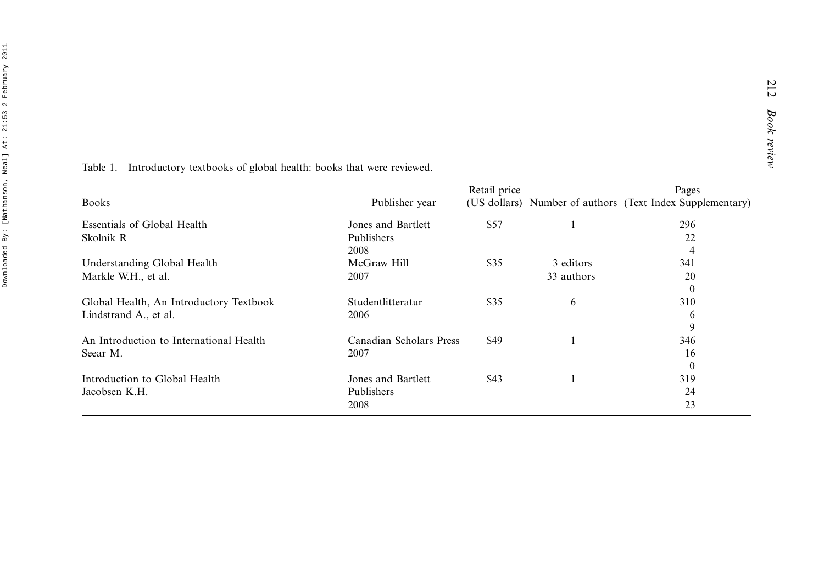| <b>Books</b>                                                     | Publisher year                           | Retail price |            | Pages<br>(US dollars) Number of authors (Text Index Supplementary) |
|------------------------------------------------------------------|------------------------------------------|--------------|------------|--------------------------------------------------------------------|
| Essentials of Global Health                                      | Jones and Bartlett                       | \$57         |            | 296                                                                |
| Skolnik R                                                        | Publishers<br>2008                       |              |            | 22<br>4                                                            |
| Understanding Global Health                                      | McGraw Hill                              | \$35         | 3 editors  | 341                                                                |
| Markle W.H., et al.                                              | 2007                                     |              | 33 authors | 20<br>$\theta$                                                     |
| Global Health, An Introductory Textbook<br>Lindstrand A., et al. | Studentlitteratur<br>2006                | \$35         | 6          | 310<br>6<br>9                                                      |
| An Introduction to International Health<br>Seear M.              | Canadian Scholars Press<br>2007          | \$49         |            | 346<br>16<br>$\theta$                                              |
| Introduction to Global Health<br>Jacobsen K.H.                   | Jones and Bartlett<br>Publishers<br>2008 | \$43         |            | 319<br>24<br>23                                                    |

Table 1. Introductory textbooks of global health: books that were reviewed.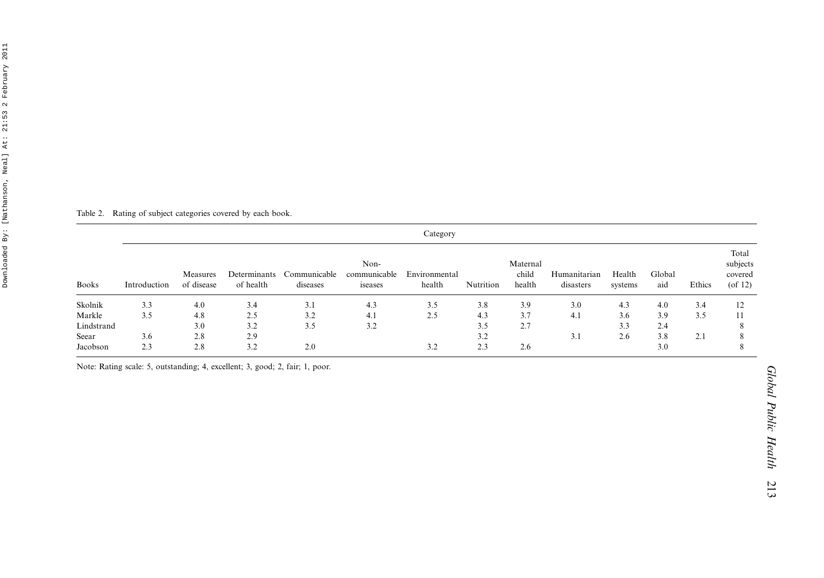| Neal] At: 21:53 2 February 2011 |  |  |  |
|---------------------------------|--|--|--|
|                                 |  |  |  |
|                                 |  |  |  |
|                                 |  |  |  |
|                                 |  |  |  |
| Downloaded By: [Nathanson,      |  |  |  |
|                                 |  |  |  |
|                                 |  |  |  |
|                                 |  |  |  |
|                                 |  |  |  |

Table 2. Rating of subject categories covered by each book.

| <b>Books</b> | Category     |                        |                           |                          |                                 |                         |           |                             |                           |                   |               |        |                                               |
|--------------|--------------|------------------------|---------------------------|--------------------------|---------------------------------|-------------------------|-----------|-----------------------------|---------------------------|-------------------|---------------|--------|-----------------------------------------------|
|              | Introduction | Measures<br>of disease | Determinants<br>of health | Communicable<br>diseases | Non-<br>communicable<br>iseases | Environmental<br>health | Nutrition | Maternal<br>child<br>health | Humanitarian<br>disasters | Health<br>systems | Global<br>aid | Ethics | Total<br>subjects<br>covered<br>$($ of 12 $)$ |
| Skolnik      | 3.3          | 4.0                    | 3.4                       | 3.1                      | 4.3                             | 3.5                     | 3.8       | 3.9                         | 3.0                       | 4.3               | 4.0           | 3.4    | 12                                            |
| Markle       | 3.5          | 4.8                    | 2.5                       | 3.2                      | 4.1                             | 2.5                     | 4.3       | 3.7                         | 4.1                       | 3.6               | 3.9           | 3.5    |                                               |
| Lindstrand   |              | 3.0                    | 3.2                       | 3.5                      | 3.2                             |                         | 3.5       | 2.7                         |                           | 3.3               | 2.4           |        |                                               |
| Seear        | 3.6          | 2.8                    | 2.9                       |                          |                                 |                         | 3.2       |                             | 3.1                       | 2.6               | 3.8           | 2.1    |                                               |
| Jacobson     | 2.3          | 2.8                    | 3.2                       | 2.0                      |                                 | 3.2                     | 2.3       | 2.6                         |                           |                   | 3.0           |        |                                               |

Note: Rating scale: 5, outstanding; 4, excellent; 3, good; 2, fair; 1, poor.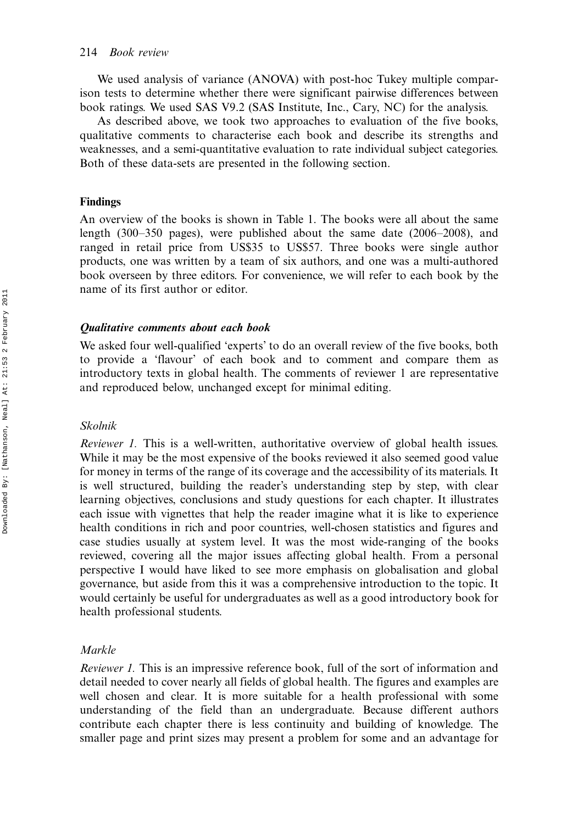We used analysis of variance (ANOVA) with post-hoc Tukey multiple comparison tests to determine whether there were significant pairwise differences between book ratings. We used SAS V9.2 (SAS Institute, Inc., Cary, NC) for the analysis.

As described above, we took two approaches to evaluation of the five books, qualitative comments to characterise each book and describe its strengths and weaknesses, and a semi-quantitative evaluation to rate individual subject categories. Both of these data-sets are presented in the following section.

#### Findings

An overview of the books is shown in Table 1. The books were all about the same length  $(300-350 \text{ pages})$ , were published about the same date  $(2006-2008)$ , and ranged in retail price from US\$35 to US\$57. Three books were single author products, one was written by a team of six authors, and one was a multi-authored book overseen by three editors. For convenience, we will refer to each book by the name of its first author or editor.

#### Qualitative comments about each book

We asked four well-qualified 'experts' to do an overall review of the five books, both to provide a 'flavour' of each book and to comment and compare them as introductory texts in global health. The comments of reviewer 1 are representative and reproduced below, unchanged except for minimal editing.

#### Skolnik

Reviewer 1. This is a well-written, authoritative overview of global health issues. While it may be the most expensive of the books reviewed it also seemed good value for money in terms of the range of its coverage and the accessibility of its materials. It is well structured, building the reader's understanding step by step, with clear learning objectives, conclusions and study questions for each chapter. It illustrates each issue with vignettes that help the reader imagine what it is like to experience health conditions in rich and poor countries, well-chosen statistics and figures and case studies usually at system level. It was the most wide-ranging of the books reviewed, covering all the major issues affecting global health. From a personal perspective I would have liked to see more emphasis on globalisation and global governance, but aside from this it was a comprehensive introduction to the topic. It would certainly be useful for undergraduates as well as a good introductory book for health professional students.

#### Markle

Reviewer 1. This is an impressive reference book, full of the sort of information and detail needed to cover nearly all fields of global health. The figures and examples are well chosen and clear. It is more suitable for a health professional with some understanding of the field than an undergraduate. Because different authors contribute each chapter there is less continuity and building of knowledge. The smaller page and print sizes may present a problem for some and an advantage for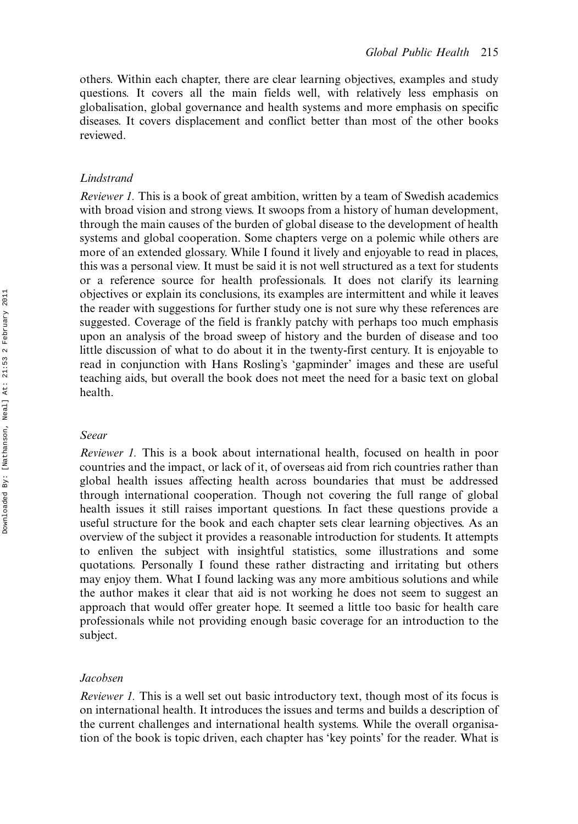others. Within each chapter, there are clear learning objectives, examples and study questions. It covers all the main fields well, with relatively less emphasis on globalisation, global governance and health systems and more emphasis on specific diseases. It covers displacement and conflict better than most of the other books reviewed.

#### Lindstrand

Reviewer 1. This is a book of great ambition, written by a team of Swedish academics with broad vision and strong views. It swoops from a history of human development, through the main causes of the burden of global disease to the development of health systems and global cooperation. Some chapters verge on a polemic while others are more of an extended glossary. While I found it lively and enjoyable to read in places, this was a personal view. It must be said it is not well structured as a text for students or a reference source for health professionals. It does not clarify its learning objectives or explain its conclusions, its examples are intermittent and while it leaves the reader with suggestions for further study one is not sure why these references are suggested. Coverage of the field is frankly patchy with perhaps too much emphasis upon an analysis of the broad sweep of history and the burden of disease and too little discussion of what to do about it in the twenty-first century. It is enjoyable to read in conjunction with Hans Rosling's 'gapminder' images and these are useful teaching aids, but overall the book does not meet the need for a basic text on global health.

#### Seear

Reviewer 1. This is a book about international health, focused on health in poor countries and the impact, or lack of it, of overseas aid from rich countries rather than global health issues affecting health across boundaries that must be addressed through international cooperation. Though not covering the full range of global health issues it still raises important questions. In fact these questions provide a useful structure for the book and each chapter sets clear learning objectives. As an overview of the subject it provides a reasonable introduction for students. It attempts to enliven the subject with insightful statistics, some illustrations and some quotations. Personally I found these rather distracting and irritating but others may enjoy them. What I found lacking was any more ambitious solutions and while the author makes it clear that aid is not working he does not seem to suggest an approach that would offer greater hope. It seemed a little too basic for health care professionals while not providing enough basic coverage for an introduction to the subject.

#### Jacobsen

Reviewer 1. This is a well set out basic introductory text, though most of its focus is on international health. It introduces the issues and terms and builds a description of the current challenges and international health systems. While the overall organisation of the book is topic driven, each chapter has 'key points' for the reader. What is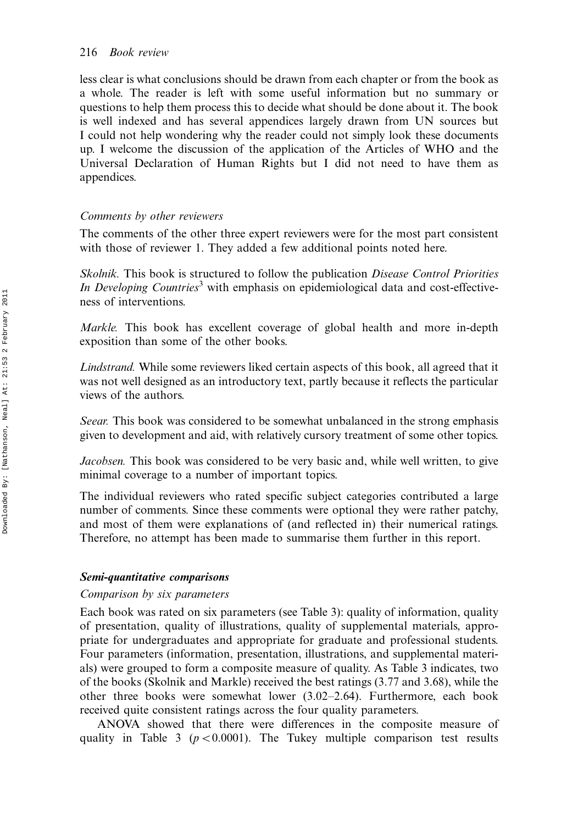less clear is what conclusions should be drawn from each chapter or from the book as a whole. The reader is left with some useful information but no summary or questions to help them process this to decide what should be done about it. The book is well indexed and has several appendices largely drawn from UN sources but I could not help wondering why the reader could not simply look these documents up. I welcome the discussion of the application of the Articles of WHO and the Universal Declaration of Human Rights but I did not need to have them as appendices.

#### Comments by other reviewers

The comments of the other three expert reviewers were for the most part consistent with those of reviewer 1. They added a few additional points noted here.

Skolnik. This book is structured to follow the publication Disease Control Priorities In Developing Countries<sup>3</sup> with emphasis on epidemiological data and cost-effectiveness of interventions.

Markle. This book has excellent coverage of global health and more in-depth exposition than some of the other books.

Lindstrand. While some reviewers liked certain aspects of this book, all agreed that it was not well designed as an introductory text, partly because it reflects the particular views of the authors.

Seear. This book was considered to be somewhat unbalanced in the strong emphasis given to development and aid, with relatively cursory treatment of some other topics.

Jacobsen. This book was considered to be very basic and, while well written, to give minimal coverage to a number of important topics.

The individual reviewers who rated specific subject categories contributed a large number of comments. Since these comments were optional they were rather patchy, and most of them were explanations of (and reflected in) their numerical ratings. Therefore, no attempt has been made to summarise them further in this report.

#### Semi-quantitative comparisons

#### Comparison by six parameters

Each book was rated on six parameters (see Table 3): quality of information, quality of presentation, quality of illustrations, quality of supplemental materials, appropriate for undergraduates and appropriate for graduate and professional students. Four parameters (information, presentation, illustrations, and supplemental materials) were grouped to form a composite measure of quality. As Table 3 indicates, two of the books (Skolnik and Markle) received the best ratings (3.77 and 3.68), while the other three books were somewhat lower  $(3.02-2.64)$ . Furthermore, each book received quite consistent ratings across the four quality parameters.

ANOVA showed that there were differences in the composite measure of quality in Table 3 ( $p < 0.0001$ ). The Tukey multiple comparison test results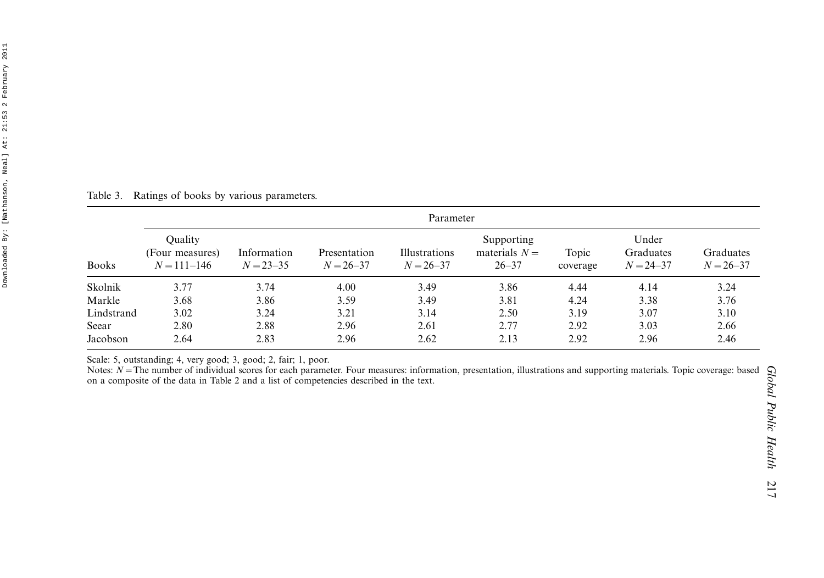| Table 3.     | Ratings of books by various parameters.       |                              |                               |                                |                                            |                   |                                     |                    |  |  |
|--------------|-----------------------------------------------|------------------------------|-------------------------------|--------------------------------|--------------------------------------------|-------------------|-------------------------------------|--------------------|--|--|
|              | Parameter                                     |                              |                               |                                |                                            |                   |                                     |                    |  |  |
| <b>Books</b> | Quality<br>(Four measures)<br>$N = 111 - 146$ | Information<br>$N = 23 - 35$ | Presentation<br>$N = 26 - 37$ | Illustrations<br>$N = 26 - 37$ | Supporting<br>materials $N =$<br>$26 - 37$ | Topic<br>coverage | Under<br>Graduates<br>$N = 24 - 37$ | Gradua<br>$N = 26$ |  |  |
| Skolnik      | 3.77                                          | 3.74                         | 4.00                          | 3.49                           | 3.86                                       | 4.44              | 4.14                                | 3.24               |  |  |
| Markle       | 3.68                                          | 3.86                         | 3.59                          | 3.49                           | 3.81                                       | 4.24              | 3.38                                | 3.76               |  |  |
| Lindstrand   | 3.02                                          | 3.24                         | 3.21                          | 3.14                           | 2.50                                       | 3.19              | 3.07                                | 3.10               |  |  |
| Seear        | 2.80                                          | 2.88                         | 2.96                          | 2.61                           | 2.77                                       | 2.92              | 3.03                                | 2.66               |  |  |

Scale: 5, outstanding; 4, very good; 3, good; 2, fair; 1, poor.<br>Notes: N = The number of individual scores for each parameter. Four measures: information, presentation, illustrations and supporting materials. Topic coverag on <sup>a</sup> composite of the data in Table 2 and <sup>a</sup> list of competencies described in the text.

Jacobson 2.64 2.83 2.96 2.62 2.13 2.92 2.96 2.46

Graduates  $N = 26 - 37$ 

3.76

3.10

2.66

2.46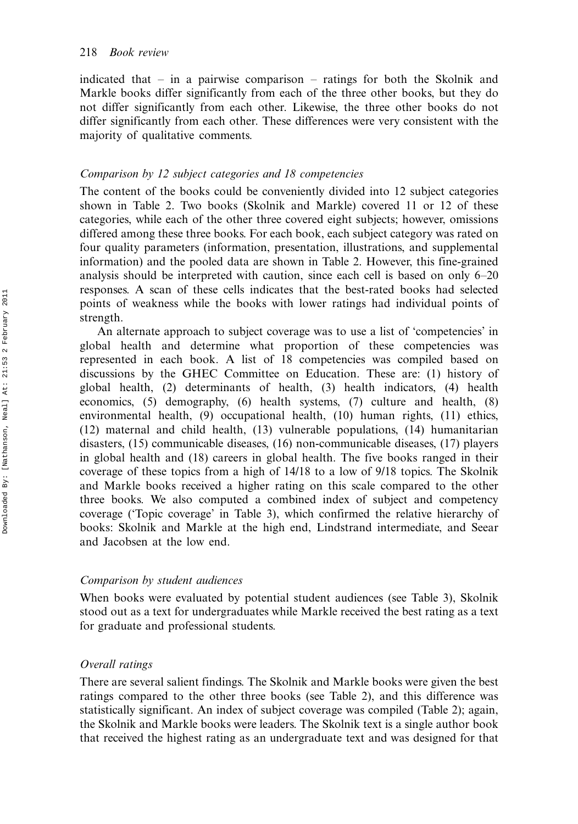indicated that  $-$  in a pairwise comparison  $-$  ratings for both the Skolnik and Markle books differ significantly from each of the three other books, but they do not differ significantly from each other. Likewise, the three other books do not differ significantly from each other. These differences were very consistent with the majority of qualitative comments.

#### Comparison by 12 subject categories and 18 competencies

The content of the books could be conveniently divided into 12 subject categories shown in Table 2. Two books (Skolnik and Markle) covered 11 or 12 of these categories, while each of the other three covered eight subjects; however, omissions differed among these three books. For each book, each subject category was rated on four quality parameters (information, presentation, illustrations, and supplemental information) and the pooled data are shown in Table 2. However, this fine-grained analysis should be interpreted with caution, since each cell is based on only  $6-20$ responses. A scan of these cells indicates that the best-rated books had selected points of weakness while the books with lower ratings had individual points of strength.

An alternate approach to subject coverage was to use a list of 'competencies' in global health and determine what proportion of these competencies was represented in each book. A list of 18 competencies was compiled based on discussions by the GHEC Committee on Education. These are: (1) history of global health, (2) determinants of health, (3) health indicators, (4) health economics, (5) demography, (6) health systems, (7) culture and health, (8) environmental health, (9) occupational health, (10) human rights, (11) ethics, (12) maternal and child health, (13) vulnerable populations, (14) humanitarian disasters, (15) communicable diseases, (16) non-communicable diseases, (17) players in global health and (18) careers in global health. The five books ranged in their coverage of these topics from a high of 14/18 to a low of 9/18 topics. The Skolnik and Markle books received a higher rating on this scale compared to the other three books. We also computed a combined index of subject and competency coverage ('Topic coverage' in Table 3), which confirmed the relative hierarchy of books: Skolnik and Markle at the high end, Lindstrand intermediate, and Seear and Jacobsen at the low end.

#### Comparison by student audiences

When books were evaluated by potential student audiences (see Table 3), Skolnik stood out as a text for undergraduates while Markle received the best rating as a text for graduate and professional students.

#### Overall ratings

There are several salient findings. The Skolnik and Markle books were given the best ratings compared to the other three books (see Table 2), and this difference was statistically significant. An index of subject coverage was compiled (Table 2); again, the Skolnik and Markle books were leaders. The Skolnik text is a single author book that received the highest rating as an undergraduate text and was designed for that